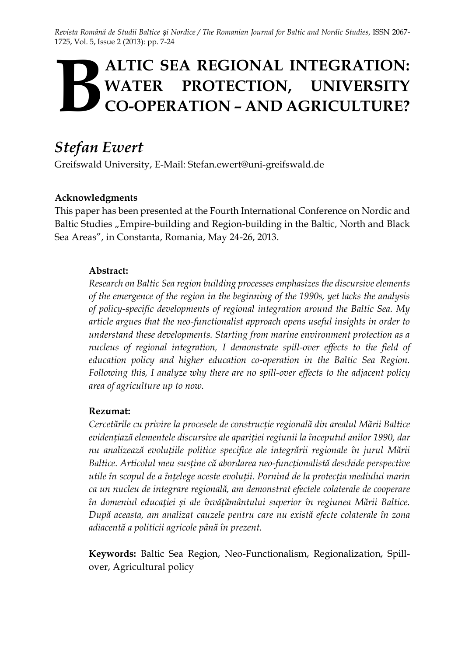*Revista Română de Studii Baltice și Nordice / The Romanian Journal for Baltic and Nordic Studies*, ISSN 2067- 1725, Vol. 5, Issue 2 (2013): pp. 7-24

# **ALTIC SEA REGIONAL INTEGRATION: WATER PROTECTION, UNIVERSITY CO-OPERATION – AND AGRICULTURE? B**

# *Stefan Ewert*

Greifswald University, E-Mail: Stefan.ewert@uni-greifswald.de

#### **Acknowledgments**

This paper has been presented at the Fourth International Conference on Nordic and Baltic Studies "Empire-building and Region-building in the Baltic, North and Black Sea Areas", in Constanta, Romania, May 24-26, 2013.

#### **Abstract:**

*Research on Baltic Sea region building processes emphasizes the discursive elements of the emergence of the region in the beginning of the 1990s, yet lacks the analysis of policy-specific developments of regional integration around the Baltic Sea. My article argues that the neo-functionalist approach opens useful insights in order to understand these developments. Starting from marine environment protection as a nucleus of regional integration, I demonstrate spill-over effects to the field of education policy and higher education co-operation in the Baltic Sea Region. Following this, I analyze why there are no spill-over effects to the adjacent policy area of agriculture up to now.* 

#### **Rezumat:**

*Cercetările cu privire la procesele de construcție regională din arealul Mării Baltice evidențiază elementele discursive ale apariției regiunii la începutul anilor 1990, dar nu analizează evoluțiile politice specifice ale integrării regionale în jurul Mării Baltice. Articolul meu susține că abordarea neo-funcționalistă deschide perspective utile în scopul de a înțelege aceste evoluții. Pornind de la protecția mediului marin ca un nucleu de integrare regională, am demonstrat efectele colaterale de cooperare în domeniul educației și ale învățământului superior în regiunea Mării Baltice. După aceasta, am analizat cauzele pentru care nu există efecte colaterale în zona adiacentă a politicii agricole până în prezent.*

**Keywords:** Baltic Sea Region, Neo-Functionalism, Regionalization, Spillover, Agricultural policy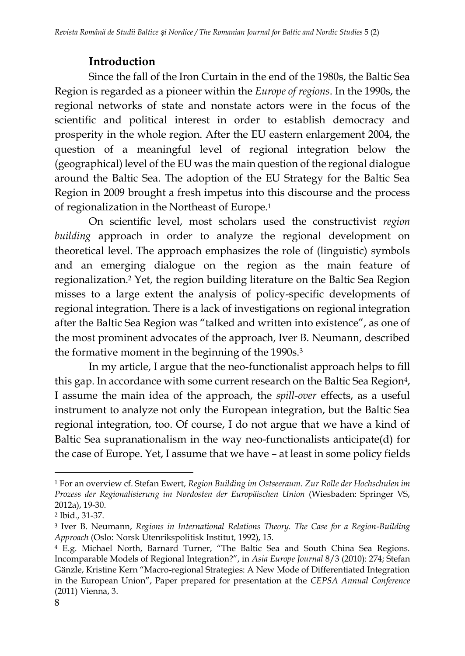## **Introduction**

Since the fall of the Iron Curtain in the end of the 1980s, the Baltic Sea Region is regarded as a pioneer within the *Europe of regions*. In the 1990s, the regional networks of state and nonstate actors were in the focus of the scientific and political interest in order to establish democracy and prosperity in the whole region. After the EU eastern enlargement 2004, the question of a meaningful level of regional integration below the (geographical) level of the EU was the main question of the regional dialogue around the Baltic Sea. The adoption of the EU Strategy for the Baltic Sea Region in 2009 brought a fresh impetus into this discourse and the process of regionalization in the Northeast of Europe.<sup>1</sup>

On scientific level, most scholars used the constructivist *region building* approach in order to analyze the regional development on theoretical level. The approach emphasizes the role of (linguistic) symbols and an emerging dialogue on the region as the main feature of regionalization.<sup>2</sup> Yet, the region building literature on the Baltic Sea Region misses to a large extent the analysis of policy-specific developments of regional integration. There is a lack of investigations on regional integration after the Baltic Sea Region was "talked and written into existence", as one of the most prominent advocates of the approach, Iver B. Neumann, described the formative moment in the beginning of the 1990s.<sup>3</sup>

In my article, I argue that the neo-functionalist approach helps to fill this gap. In accordance with some current research on the Baltic Sea Region<sup>4</sup>, I assume the main idea of the approach, the *spill-over* effects, as a useful instrument to analyze not only the European integration, but the Baltic Sea regional integration, too. Of course, I do not argue that we have a kind of Baltic Sea supranationalism in the way neo-functionalists anticipate(d) for the case of Europe. Yet, I assume that we have – at least in some policy fields

<sup>1</sup> For an overview cf. Stefan Ewert, *Region Building im Ostseeraum. Zur Rolle der Hochschulen im Prozess der Regionalisierung im Nordosten der Europäischen Union* (Wiesbaden: Springer VS, 2012a), 19-30.

<sup>2</sup> Ibid., 31-37.

<sup>3</sup> Iver B. Neumann, *Regions in International Relations Theory. The Case for a Region-Building Approach* (Oslo: Norsk Utenrikspolitisk Institut, 1992), 15.

<sup>4</sup> E.g. Michael North, Barnard Turner, "The Baltic Sea and South China Sea Regions. Incomparable Models of Regional Integration?", in *Asia Europe Journal* 8/3 (2010): 274; Stefan Gänzle, Kristine Kern "Macro-regional Strategies: A New Mode of Differentiated Integration in the European Union", Paper prepared for presentation at the *CEPSA Annual Conference* (2011) Vienna, 3.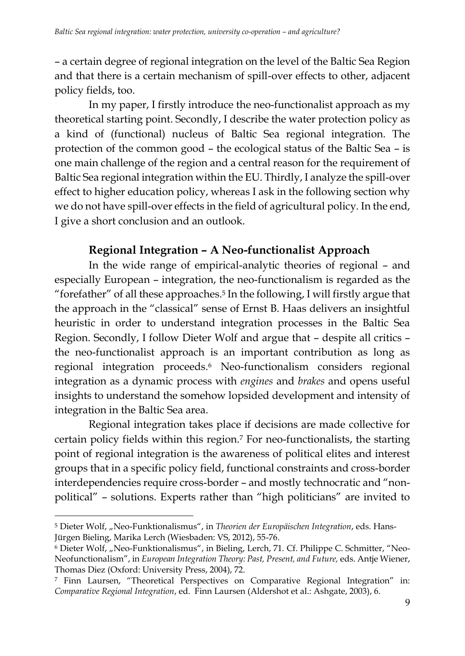– a certain degree of regional integration on the level of the Baltic Sea Region and that there is a certain mechanism of spill-over effects to other, adjacent policy fields, too.

In my paper, I firstly introduce the neo-functionalist approach as my theoretical starting point. Secondly, I describe the water protection policy as a kind of (functional) nucleus of Baltic Sea regional integration. The protection of the common good – the ecological status of the Baltic Sea – is one main challenge of the region and a central reason for the requirement of Baltic Sea regional integration within the EU. Thirdly, I analyze the spill-over effect to higher education policy, whereas I ask in the following section why we do not have spill-over effects in the field of agricultural policy. In the end, I give a short conclusion and an outlook.

## **Regional Integration – A Neo-functionalist Approach**

In the wide range of empirical-analytic theories of regional – and especially European – integration, the neo-functionalism is regarded as the "forefather" of all these approaches.<sup>5</sup> In the following, I will firstly argue that the approach in the "classical" sense of Ernst B. Haas delivers an insightful heuristic in order to understand integration processes in the Baltic Sea Region. Secondly, I follow Dieter Wolf and argue that – despite all critics – the neo-functionalist approach is an important contribution as long as regional integration proceeds.<sup>6</sup> Neo-functionalism considers regional integration as a dynamic process with *engines* and *brakes* and opens useful insights to understand the somehow lopsided development and intensity of integration in the Baltic Sea area.

Regional integration takes place if decisions are made collective for certain policy fields within this region.<sup>7</sup> For neo-functionalists, the starting point of regional integration is the awareness of political elites and interest groups that in a specific policy field, functional constraints and cross-border interdependencies require cross-border – and mostly technocratic and "nonpolitical" – solutions. Experts rather than "high politicians" are invited to

 $\overline{a}$ <sup>5</sup> Dieter Wolf, "Neo-Funktionalismus", in *Theorien der Europäischen Integration*, eds. Hans-Jürgen Bieling, Marika Lerch (Wiesbaden: VS, 2012), 55-76.

<sup>&</sup>lt;sup>6</sup> Dieter Wolf, "Neo-Funktionalismus", in Bieling, Lerch, 71. Cf. Philippe C. Schmitter, "Neo-Neofunctionalism", in *European Integration Theory: Past, Present, and Future,* eds. Antje Wiener, Thomas Diez (Oxford: University Press, 2004), 72.

<sup>7</sup> Finn Laursen, "Theoretical Perspectives on Comparative Regional Integration" in: *Comparative Regional Integration*, ed. Finn Laursen (Aldershot et al.: Ashgate, 2003), 6.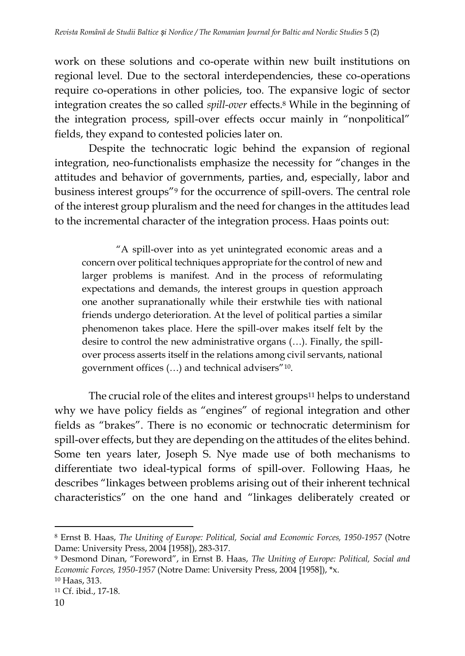work on these solutions and co-operate within new built institutions on regional level. Due to the sectoral interdependencies, these co-operations require co-operations in other policies, too. The expansive logic of sector integration creates the so called *spill-over* effects.<sup>8</sup> While in the beginning of the integration process, spill-over effects occur mainly in "nonpolitical" fields, they expand to contested policies later on.

Despite the technocratic logic behind the expansion of regional integration, neo-functionalists emphasize the necessity for "changes in the attitudes and behavior of governments, parties, and, especially, labor and business interest groups"<sup>9</sup> for the occurrence of spill-overs. The central role of the interest group pluralism and the need for changes in the attitudes lead to the incremental character of the integration process. Haas points out:

"A spill-over into as yet unintegrated economic areas and a concern over political techniques appropriate for the control of new and larger problems is manifest. And in the process of reformulating expectations and demands, the interest groups in question approach one another supranationally while their erstwhile ties with national friends undergo deterioration. At the level of political parties a similar phenomenon takes place. Here the spill-over makes itself felt by the desire to control the new administrative organs (…). Finally, the spillover process asserts itself in the relations among civil servants, national government offices (…) and technical advisers"<sup>10</sup> .

The crucial role of the elites and interest groups<sup>11</sup> helps to understand why we have policy fields as "engines" of regional integration and other fields as "brakes". There is no economic or technocratic determinism for spill-over effects, but they are depending on the attitudes of the elites behind. Some ten years later, Joseph S. Nye made use of both mechanisms to differentiate two ideal-typical forms of spill-over. Following Haas, he describes "linkages between problems arising out of their inherent technical characteristics" on the one hand and "linkages deliberately created or

<sup>8</sup> Ernst B. Haas, *The Uniting of Europe: Political, Social and Economic Forces, 1950-1957* (Notre Dame: University Press, 2004 [1958]), 283-317.

<sup>9</sup> Desmond Dinan, "Foreword", in Ernst B. Haas, *The Uniting of Europe: Political, Social and Economic Forces, 1950-1957* (Notre Dame: University Press, 2004 [1958]), \*x.

<sup>10</sup> Haas, 313.

<sup>11</sup> Cf. ibid., 17-18.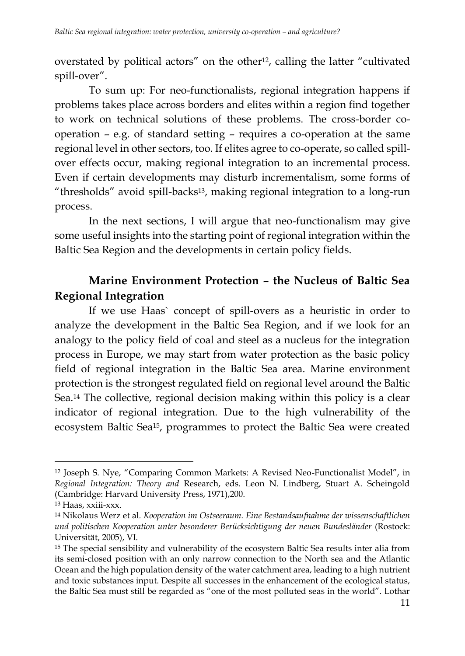overstated by political actors" on the other<sup>12</sup>, calling the latter "cultivated spill-over".

To sum up: For neo-functionalists, regional integration happens if problems takes place across borders and elites within a region find together to work on technical solutions of these problems. The cross-border cooperation – e.g. of standard setting – requires a co-operation at the same regional level in other sectors, too. If elites agree to co-operate, so called spillover effects occur, making regional integration to an incremental process. Even if certain developments may disturb incrementalism, some forms of "thresholds" avoid spill-backs13, making regional integration to a long-run process.

In the next sections, I will argue that neo-functionalism may give some useful insights into the starting point of regional integration within the Baltic Sea Region and the developments in certain policy fields.

## **Marine Environment Protection – the Nucleus of Baltic Sea Regional Integration**

If we use Haas` concept of spill-overs as a heuristic in order to analyze the development in the Baltic Sea Region, and if we look for an analogy to the policy field of coal and steel as a nucleus for the integration process in Europe, we may start from water protection as the basic policy field of regional integration in the Baltic Sea area. Marine environment protection is the strongest regulated field on regional level around the Baltic Sea.<sup>14</sup> The collective, regional decision making within this policy is a clear indicator of regional integration. Due to the high vulnerability of the ecosystem Baltic Sea15, programmes to protect the Baltic Sea were created

<sup>12</sup> Joseph S. Nye, "Comparing Common Markets: A Revised Neo-Functionalist Model", in *Regional Integration: Theory and* Research, eds. Leon N. Lindberg, Stuart A. Scheingold (Cambridge: Harvard University Press, 1971),200.

<sup>13</sup> Haas, xxiii-xxx.

<sup>14</sup> Nikolaus Werz et al*. Kooperation im Ostseeraum. Eine Bestandsaufnahme der wissenschaftlichen und politischen Kooperation unter besonderer Berücksichtigung der neuen Bundesländer* (Rostock: Universität, 2005), VI.

<sup>15</sup> The special sensibility and vulnerability of the ecosystem Baltic Sea results inter alia from its semi-closed position with an only narrow connection to the North sea and the Atlantic Ocean and the high population density of the water catchment area, leading to a high nutrient and toxic substances input. Despite all successes in the enhancement of the ecological status, the Baltic Sea must still be regarded as "one of the most polluted seas in the world". Lothar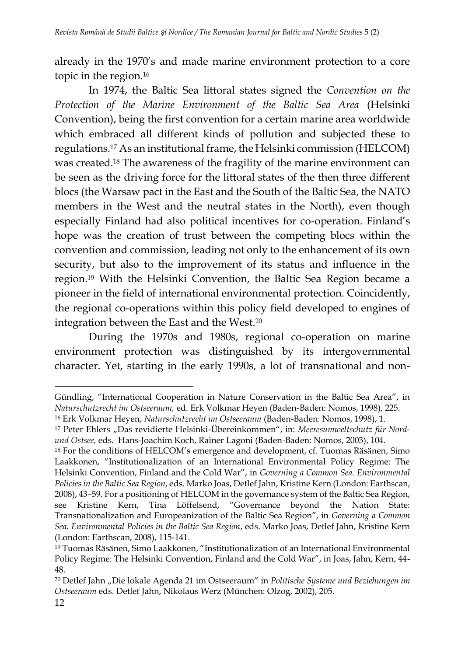already in the 1970's and made marine environment protection to a core topic in the region.<sup>16</sup>

In 1974, the Baltic Sea littoral states signed the *Convention on the Protection of the Marine Environment of the Baltic Sea Area* (Helsinki Convention), being the first convention for a certain marine area worldwide which embraced all different kinds of pollution and subjected these to regulations.<sup>17</sup> As an institutional frame, the Helsinki commission (HELCOM) was created.<sup>18</sup> The awareness of the fragility of the marine environment can be seen as the driving force for the littoral states of the then three different blocs (the Warsaw pact in the East and the South of the Baltic Sea, the NATO members in the West and the neutral states in the North), even though especially Finland had also political incentives for co-operation. Finland's hope was the creation of trust between the competing blocs within the convention and commission, leading not only to the enhancement of its own security, but also to the improvement of its status and influence in the region.<sup>19</sup> With the Helsinki Convention, the Baltic Sea Region became a pioneer in the field of international environmental protection. Coincidently, the regional co-operations within this policy field developed to engines of integration between the East and the West.<sup>20</sup>

During the 1970s and 1980s, regional co-operation on marine environment protection was distinguished by its intergovernmental character. Yet, starting in the early 1990s, a lot of transnational and non-

Gündling, "International Cooperation in Nature Conservation in the Baltic Sea Area", in *Naturschutzrecht im Ostseeraum,* ed. Erk Volkmar Heyen (Baden-Baden: Nomos, 1998), 225.

<sup>16</sup> Erk Volkmar Heyen, *Naturschutzrecht im Ostseeraum* (Baden-Baden: Nomos, 1998), 1.

<sup>17</sup> Peter Ehlers "Das revidierte Helsinki-Übereinkommen", in: *Meeresumweltschutz für Nordund Ostsee,* eds. Hans-Joachim Koch, Rainer Lagoni (Baden-Baden: Nomos, 2003), 104.

<sup>18</sup> For the conditions of HELCOM's emergence and development, cf. Tuomas Räsänen, Simo Laakkonen, "Institutionalization of an International Environmental Policy Regime: The Helsinki Convention, Finland and the Cold War", in *Governing a Common Sea. Environmental Policies in the Baltic Sea Region*, eds. Marko Joas, Detlef Jahn, Kristine Kern (London: Earthscan, 2008), 43–59. For a positioning of HELCOM in the governance system of the Baltic Sea Region, see Kristine Kern, Tina Löffelsend, "Governance beyond the Nation State: Transnationalization and Europeanization of the Baltic Sea Region", in *Governing a Common Sea. Environmental Policies in the Baltic Sea Region*, eds. Marko Joas, Detlef Jahn, Kristine Kern (London: Earthscan, 2008), 115-141.

<sup>19</sup> Tuomas Räsänen, Simo Laakkonen, "Institutionalization of an International Environmental Policy Regime: The Helsinki Convention, Finland and the Cold War", in Joas, Jahn, Kern, 44- 48.

<sup>20</sup> Detlef Jahn "Die lokale Agenda 21 im Ostseeraum" in *Politische Systeme und Beziehungen im Ostseeraum* eds. Detlef Jahn, Nikolaus Werz (München: Olzog, 2002), 205.

<sup>12</sup>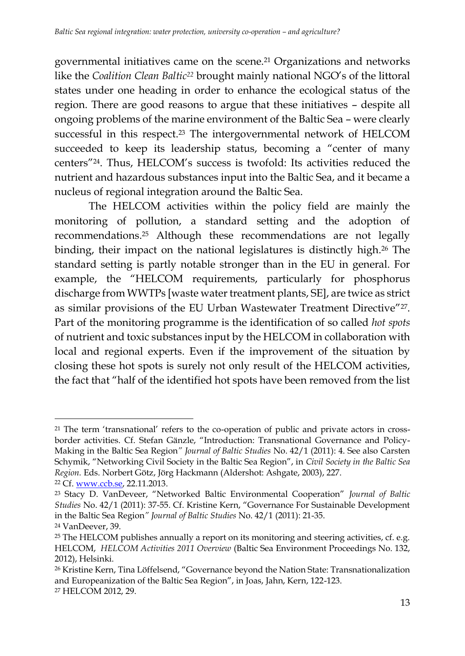governmental initiatives came on the scene.<sup>21</sup> Organizations and networks like the *Coalition Clean Baltic<sup>22</sup>* brought mainly national NGO's of the littoral states under one heading in order to enhance the ecological status of the region. There are good reasons to argue that these initiatives – despite all ongoing problems of the marine environment of the Baltic Sea – were clearly successful in this respect.<sup>23</sup> The intergovernmental network of HELCOM succeeded to keep its leadership status, becoming a "center of many centers"24. Thus, HELCOM's success is twofold: Its activities reduced the nutrient and hazardous substances input into the Baltic Sea, and it became a nucleus of regional integration around the Baltic Sea.

The HELCOM activities within the policy field are mainly the monitoring of pollution, a standard setting and the adoption of recommendations.<sup>25</sup> Although these recommendations are not legally binding, their impact on the national legislatures is distinctly high.<sup>26</sup> The standard setting is partly notable stronger than in the EU in general. For example, the "HELCOM requirements, particularly for phosphorus discharge from WWTPs [waste water treatment plants, SE], are twice as strict as similar provisions of the EU Urban Wastewater Treatment Directive"27. Part of the monitoring programme is the identification of so called *hot spots* of nutrient and toxic substances input by the HELCOM in collaboration with local and regional experts. Even if the improvement of the situation by closing these hot spots is surely not only result of the HELCOM activities, the fact that "half of the identified hot spots have been removed from the list

 $\overline{a}$ <sup>21</sup> The term 'transnational' refers to the co-operation of public and private actors in crossborder activities. Cf. Stefan Gänzle, "Introduction: Transnational Governance and Policy-Making in the Baltic Sea Region*" Journal of Baltic Studies* No. 42/1 (2011): 4. See also Carsten Schymik, "Networking Civil Society in the Baltic Sea Region", in *Civil Society in the Baltic Sea Region.* Eds. Norbert Götz, Jörg Hackmann (Aldershot: Ashgate, 2003), 227.

<sup>22</sup> Cf. [www.ccb.se,](http://www.ccb.se/) 22.11.2013.

<sup>23</sup> Stacy D. VanDeveer, "Networked Baltic Environmental Cooperation" *Journal of Baltic Studies* No. 42/1 (2011): 37-55. Cf. Kristine Kern, "Governance For Sustainable Development in the Baltic Sea Region*" Journal of Baltic Studies* No. 42/1 (2011): 21-35.

<sup>24</sup> VanDeever, 39.

 $25$  The HELCOM publishes annually a report on its monitoring and steering activities, cf. e.g. HELCOM, *HELCOM Activities 2011 Overview* (Baltic Sea Environment Proceedings No. 132, 2012), Helsinki.

<sup>26</sup> Kristine Kern, Tina Löffelsend, "Governance beyond the Nation State: Transnationalization and Europeanization of the Baltic Sea Region", in Joas, Jahn, Kern, 122-123. <sup>27</sup> HELCOM 2012, 29.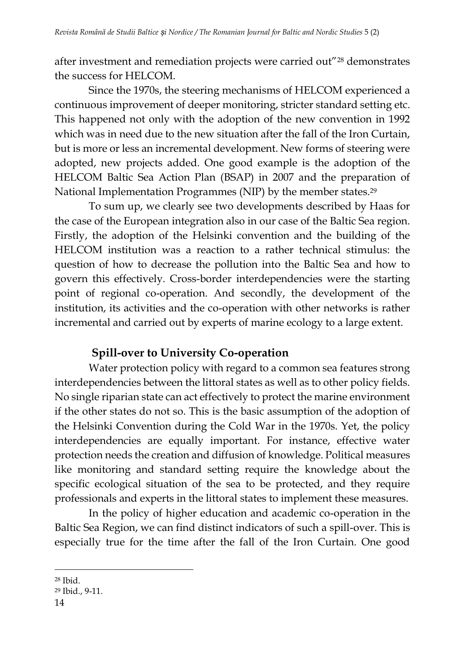after investment and remediation projects were carried out"<sup>28</sup> demonstrates the success for HELCOM.

Since the 1970s, the steering mechanisms of HELCOM experienced a continuous improvement of deeper monitoring, stricter standard setting etc. This happened not only with the adoption of the new convention in 1992 which was in need due to the new situation after the fall of the Iron Curtain, but is more or less an incremental development. New forms of steering were adopted, new projects added. One good example is the adoption of the HELCOM Baltic Sea Action Plan (BSAP) in 2007 and the preparation of National Implementation Programmes (NIP) by the member states.<sup>29</sup>

To sum up, we clearly see two developments described by Haas for the case of the European integration also in our case of the Baltic Sea region. Firstly, the adoption of the Helsinki convention and the building of the HELCOM institution was a reaction to a rather technical stimulus: the question of how to decrease the pollution into the Baltic Sea and how to govern this effectively. Cross-border interdependencies were the starting point of regional co-operation. And secondly, the development of the institution, its activities and the co-operation with other networks is rather incremental and carried out by experts of marine ecology to a large extent.

## **Spill-over to University Co-operation**

Water protection policy with regard to a common sea features strong interdependencies between the littoral states as well as to other policy fields. No single riparian state can act effectively to protect the marine environment if the other states do not so. This is the basic assumption of the adoption of the Helsinki Convention during the Cold War in the 1970s. Yet, the policy interdependencies are equally important. For instance, effective water protection needs the creation and diffusion of knowledge. Political measures like monitoring and standard setting require the knowledge about the specific ecological situation of the sea to be protected, and they require professionals and experts in the littoral states to implement these measures.

In the policy of higher education and academic co-operation in the Baltic Sea Region, we can find distinct indicators of such a spill-over. This is especially true for the time after the fall of the Iron Curtain. One good

<sup>28</sup> Ibid.

<sup>29</sup> Ibid., 9-11.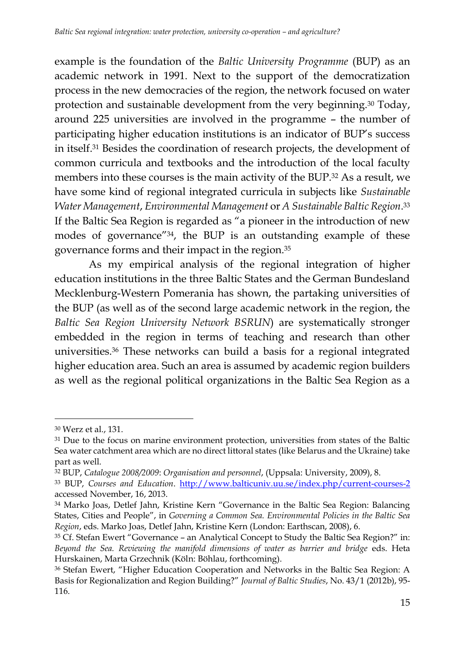example is the foundation of the *Baltic University Programme* (BUP) as an academic network in 1991. Next to the support of the democratization process in the new democracies of the region, the network focused on water protection and sustainable development from the very beginning.<sup>30</sup> Today, around 225 universities are involved in the programme – the number of participating higher education institutions is an indicator of BUP's success in itself.<sup>31</sup> Besides the coordination of research projects, the development of common curricula and textbooks and the introduction of the local faculty members into these courses is the main activity of the BUP.<sup>32</sup> As a result, we have some kind of regional integrated curricula in subjects like *Sustainable Water Management*, *Environmental Management* or *A Sustainable Baltic Region*. 33 If the Baltic Sea Region is regarded as "a pioneer in the introduction of new modes of governance"34, the BUP is an outstanding example of these governance forms and their impact in the region.<sup>35</sup>

As my empirical analysis of the regional integration of higher education institutions in the three Baltic States and the German Bundesland Mecklenburg-Western Pomerania has shown, the partaking universities of the BUP (as well as of the second large academic network in the region, the *Baltic Sea Region University Network BSRUN*) are systematically stronger embedded in the region in terms of teaching and research than other universities.<sup>36</sup> These networks can build a basis for a regional integrated higher education area. Such an area is assumed by academic region builders as well as the regional political organizations in the Baltic Sea Region as a

<sup>30</sup> Werz et al., 131.

<sup>&</sup>lt;sup>31</sup> Due to the focus on marine environment protection, universities from states of the Baltic Sea water catchment area which are no direct littoral states (like Belarus and the Ukraine) take part as well.

<sup>32</sup> BUP, *Catalogue 2008/2009*: *Organisation and personnel*, (Uppsala: University, 2009), 8.

<sup>33</sup> BUP, *Courses and Education*.<http://www.balticuniv.uu.se/index.php/current-courses-2> accessed November, 16, 2013.

<sup>34</sup> Marko Joas, Detlef Jahn, Kristine Kern "Governance in the Baltic Sea Region: Balancing States, Cities and People", in *Governing a Common Sea. Environmental Policies in the Baltic Sea Region*, eds. Marko Joas, Detlef Jahn, Kristine Kern (London: Earthscan, 2008), 6.

<sup>35</sup> Cf. Stefan Ewert "Governance – an Analytical Concept to Study the Baltic Sea Region?" in: *Beyond the Sea. Reviewing the manifold dimensions of water as barrier and bridge* eds. Heta Hurskainen, Marta Grzechnik (Köln: Böhlau, forthcoming).

<sup>36</sup> Stefan Ewert, "Higher Education Cooperation and Networks in the Baltic Sea Region: A Basis for Regionalization and Region Building?" *Journal of Baltic Studies*, No. 43/1 (2012b), 95- 116.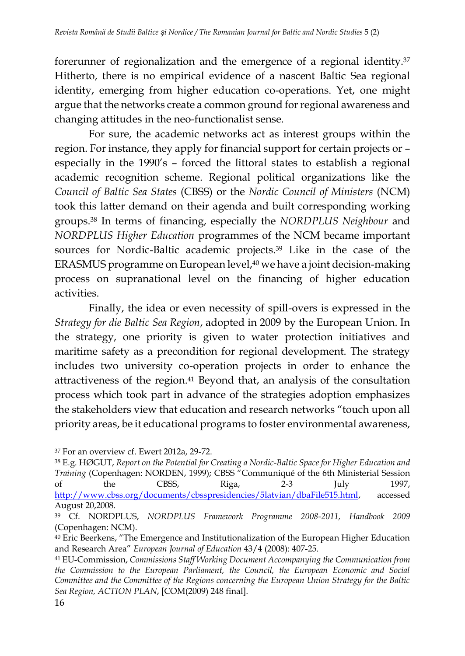forerunner of regionalization and the emergence of a regional identity.<sup>37</sup> Hitherto, there is no empirical evidence of a nascent Baltic Sea regional identity, emerging from higher education co-operations. Yet, one might argue that the networks create a common ground for regional awareness and changing attitudes in the neo-functionalist sense.

For sure, the academic networks act as interest groups within the region. For instance, they apply for financial support for certain projects or – especially in the 1990's – forced the littoral states to establish a regional academic recognition scheme. Regional political organizations like the *Council of Baltic Sea States* (CBSS) or the *Nordic Council of Ministers* (NCM) took this latter demand on their agenda and built corresponding working groups.<sup>38</sup> In terms of financing, especially the *NORDPLUS Neighbour* and *NORDPLUS Higher Education* programmes of the NCM became important sources for Nordic-Baltic academic projects.<sup>39</sup> Like in the case of the ERASMUS programme on European level,<sup>40</sup> we have a joint decision-making process on supranational level on the financing of higher education activities.

Finally, the idea or even necessity of spill-overs is expressed in the *Strategy for die Baltic Sea Region*, adopted in 2009 by the European Union. In the strategy, one priority is given to water protection initiatives and maritime safety as a precondition for regional development. The strategy includes two university co-operation projects in order to enhance the attractiveness of the region.<sup>41</sup> Beyond that, an analysis of the consultation process which took part in advance of the strategies adoption emphasizes the stakeholders view that education and research networks "touch upon all priority areas, be it educational programs to foster environmental awareness,

<sup>37</sup> For an overview cf. Ewert 2012a, 29-72.

<sup>38</sup> E.g. HØGUT, *Report on the Potential for Creating a Nordic-Baltic Space for Higher Education and Training* (Copenhagen: NORDEN, 1999); CBSS "Communiqué of the 6th Ministerial Session of the CBSS, Riga, 2-3 July 1997, [http://www.cbss.org/documents/cbsspresidencies/5latvian/dbaFile515.html,](http://www.cbss.org/documents/cbsspresidencies/5latvian/dbaFile515.html) accessed August 20,2008.

<sup>39</sup> Cf. NORDPLUS, *NORDPLUS Framework Programme 2008-2011, Handbook 2009*  (Copenhagen: NCM).

<sup>40</sup> Eric Beerkens, "The Emergence and Institutionalization of the European Higher Education and Research Area" *European Journal of Education* 43/4 (2008): 407-25.

<sup>41</sup> EU-Commission, *Commissions Staff Working Document Accompanying the Communication from the Commission to the European Parliament, the Council, the European Economic and Social Committee and the Committee of the Regions concerning the European Union Strategy for the Baltic Sea Region, ACTION PLAN*, [COM(2009) 248 final].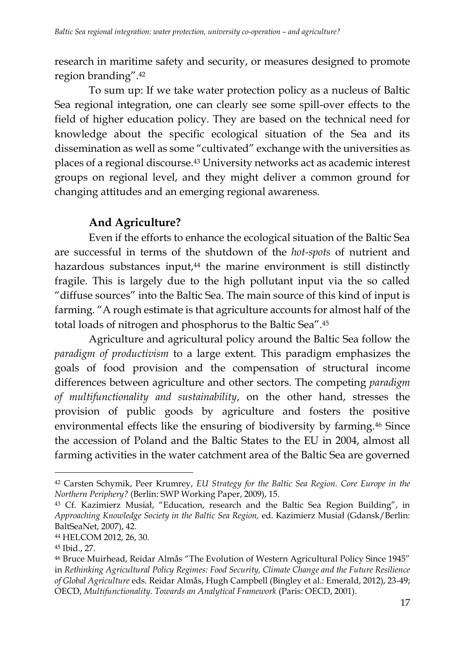research in maritime safety and security, or measures designed to promote region branding".<sup>42</sup>

To sum up: If we take water protection policy as a nucleus of Baltic Sea regional integration, one can clearly see some spill-over effects to the field of higher education policy. They are based on the technical need for knowledge about the specific ecological situation of the Sea and its dissemination as well as some "cultivated" exchange with the universities as places of a regional discourse.<sup>43</sup> University networks act as academic interest groups on regional level, and they might deliver a common ground for changing attitudes and an emerging regional awareness.

## **And Agriculture?**

Even if the efforts to enhance the ecological situation of the Baltic Sea are successful in terms of the shutdown of the *hot-spots* of nutrient and hazardous substances input,<sup>44</sup> the marine environment is still distinctly fragile. This is largely due to the high pollutant input via the so called "diffuse sources" into the Baltic Sea. The main source of this kind of input is farming. "A rough estimate is that agriculture accounts for almost half of the total loads of nitrogen and phosphorus to the Baltic Sea".<sup>45</sup>

Agriculture and agricultural policy around the Baltic Sea follow the *paradigm of productivism* to a large extent. This paradigm emphasizes the goals of food provision and the compensation of structural income differences between agriculture and other sectors. The competing *paradigm of multifunctionality and sustainability*, on the other hand, stresses the provision of public goods by agriculture and fosters the positive environmental effects like the ensuring of biodiversity by farming.<sup>46</sup> Since the accession of Poland and the Baltic States to the EU in 2004, almost all farming activities in the water catchment area of the Baltic Sea are governed

<sup>42</sup> Carsten Schymik, Peer Krumrey, *EU Strategy for the Baltic Sea Region. Core Europe in the Northern Periphery?* (Berlin: SWP Working Paper, 2009), 15.

<sup>43</sup> Cf. Kazimierz Musiał, "Education, research and the Baltic Sea Region Building", in *Approaching Knowledge Society in the Baltic Sea Region,* ed. Kazimierz Musiał (Gdansk/Berlin: BaltSeaNet, 2007), 42.

<sup>44</sup> HELCOM 2012, 26, 30.

<sup>45</sup> Ibid., 27.

<sup>46</sup> Bruce Muirhead, Reidar Almås "The Evolution of Western Agricultural Policy Since 1945" in *Rethinking Agricultural Policy Regimes: Food Security, Climate Change and the Future Resilience of Global Agriculture* eds. Reidar Almås, Hugh Campbell (Bingley et al.: Emerald, 2012), 23-49; OECD, *Multifunctionality. Towards an Analytical Framework* (Paris: OECD, 2001).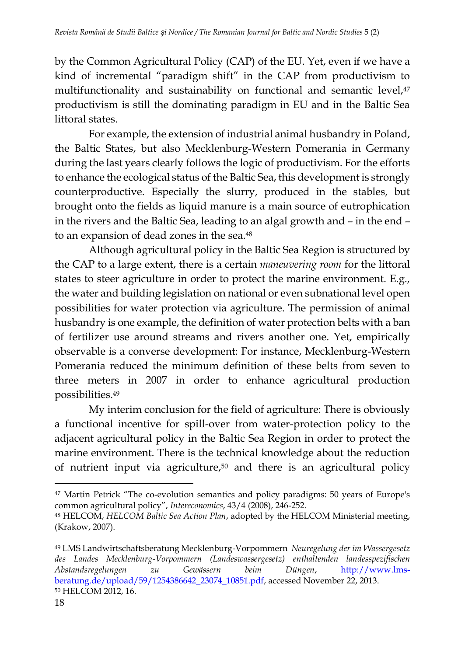by the Common Agricultural Policy (CAP) of the EU. Yet, even if we have a kind of incremental "paradigm shift" in the CAP from productivism to multifunctionality and sustainability on functional and semantic level,<sup>47</sup> productivism is still the dominating paradigm in EU and in the Baltic Sea littoral states.

For example, the extension of industrial animal husbandry in Poland, the Baltic States, but also Mecklenburg-Western Pomerania in Germany during the last years clearly follows the logic of productivism. For the efforts to enhance the ecological status of the Baltic Sea, this development is strongly counterproductive. Especially the slurry, produced in the stables, but brought onto the fields as liquid manure is a main source of eutrophication in the rivers and the Baltic Sea, leading to an algal growth and – in the end – to an expansion of dead zones in the sea.<sup>48</sup>

Although agricultural policy in the Baltic Sea Region is structured by the CAP to a large extent, there is a certain *maneuvering room* for the littoral states to steer agriculture in order to protect the marine environment. E.g., the water and building legislation on national or even subnational level open possibilities for water protection via agriculture. The permission of animal husbandry is one example, the definition of water protection belts with a ban of fertilizer use around streams and rivers another one. Yet, empirically observable is a converse development: For instance, Mecklenburg-Western Pomerania reduced the minimum definition of these belts from seven to three meters in 2007 in order to enhance agricultural production possibilities.<sup>49</sup>

My interim conclusion for the field of agriculture: There is obviously a functional incentive for spill-over from water-protection policy to the adjacent agricultural policy in the Baltic Sea Region in order to protect the marine environment. There is the technical knowledge about the reduction of nutrient input via agriculture,<sup>50</sup> and there is an agricultural policy

<sup>47</sup> Martin Petrick "The co-evolution semantics and policy paradigms: 50 years of Europe's common agricultural policy", *Intereconomics*, 43/4 (2008), 246-252. <sup>48</sup> HELCOM, *HELCOM Baltic Sea Action Plan*, adopted by the HELCOM Ministerial meeting, (Krakow, 2007).

<sup>49</sup> LMS Landwirtschaftsberatung Mecklenburg-Vorpommern *Neuregelung der im Wassergesetz des Landes Mecklenburg-Vorpommern (Landeswassergesetz) enthaltenden landesspezifischen Abstandsregelungen zu Gewässern beim Düngen*, [http://www.lms](http://www.lms-beratung.de/upload/59/1254386642_23074_10851.pdf)[beratung.de/upload/59/1254386642\\_23074\\_10851.pdf,](http://www.lms-beratung.de/upload/59/1254386642_23074_10851.pdf) accessed November 22, 2013. <sup>50</sup> HELCOM 2012, 16.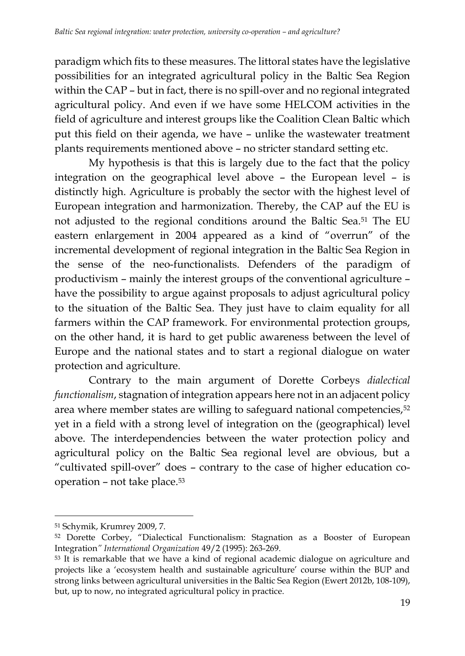paradigm which fits to these measures. The littoral states have the legislative possibilities for an integrated agricultural policy in the Baltic Sea Region within the CAP – but in fact, there is no spill-over and no regional integrated agricultural policy. And even if we have some HELCOM activities in the field of agriculture and interest groups like the Coalition Clean Baltic which put this field on their agenda, we have – unlike the wastewater treatment plants requirements mentioned above – no stricter standard setting etc.

My hypothesis is that this is largely due to the fact that the policy integration on the geographical level above – the European level – is distinctly high. Agriculture is probably the sector with the highest level of European integration and harmonization. Thereby, the CAP auf the EU is not adjusted to the regional conditions around the Baltic Sea.<sup>51</sup> The EU eastern enlargement in 2004 appeared as a kind of "overrun" of the incremental development of regional integration in the Baltic Sea Region in the sense of the neo-functionalists. Defenders of the paradigm of productivism – mainly the interest groups of the conventional agriculture – have the possibility to argue against proposals to adjust agricultural policy to the situation of the Baltic Sea. They just have to claim equality for all farmers within the CAP framework. For environmental protection groups, on the other hand, it is hard to get public awareness between the level of Europe and the national states and to start a regional dialogue on water protection and agriculture.

Contrary to the main argument of Dorette Corbeys *dialectical functionalism*, stagnation of integration appears here not in an adjacent policy area where member states are willing to safeguard national competencies,<sup>52</sup> yet in a field with a strong level of integration on the (geographical) level above. The interdependencies between the water protection policy and agricultural policy on the Baltic Sea regional level are obvious, but a "cultivated spill-over" does – contrary to the case of higher education cooperation – not take place.<sup>53</sup>

<sup>51</sup> Schymik, Krumrey 2009, 7.

<sup>52</sup> Dorette Corbey, "Dialectical Functionalism: Stagnation as a Booster of European Integration*" International Organization* 49/2 (1995): 263-269.

<sup>53</sup> It is remarkable that we have a kind of regional academic dialogue on agriculture and projects like a 'ecosystem health and sustainable agriculture' course within the BUP and strong links between agricultural universities in the Baltic Sea Region (Ewert 2012b, 108-109), but, up to now, no integrated agricultural policy in practice.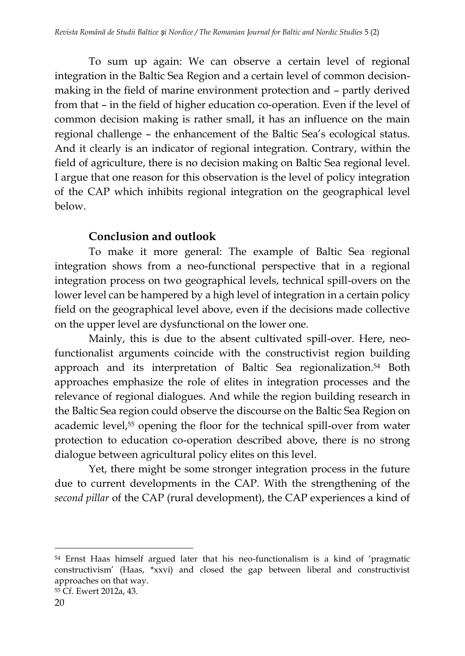To sum up again: We can observe a certain level of regional integration in the Baltic Sea Region and a certain level of common decisionmaking in the field of marine environment protection and – partly derived from that – in the field of higher education co-operation. Even if the level of common decision making is rather small, it has an influence on the main regional challenge – the enhancement of the Baltic Sea's ecological status. And it clearly is an indicator of regional integration. Contrary, within the field of agriculture, there is no decision making on Baltic Sea regional level. I argue that one reason for this observation is the level of policy integration of the CAP which inhibits regional integration on the geographical level below.

## **Conclusion and outlook**

To make it more general: The example of Baltic Sea regional integration shows from a neo-functional perspective that in a regional integration process on two geographical levels, technical spill-overs on the lower level can be hampered by a high level of integration in a certain policy field on the geographical level above, even if the decisions made collective on the upper level are dysfunctional on the lower one.

Mainly, this is due to the absent cultivated spill-over. Here, neofunctionalist arguments coincide with the constructivist region building approach and its interpretation of Baltic Sea regionalization.<sup>54</sup> Both approaches emphasize the role of elites in integration processes and the relevance of regional dialogues. And while the region building research in the Baltic Sea region could observe the discourse on the Baltic Sea Region on academic level,<sup>55</sup> opening the floor for the technical spill-over from water protection to education co-operation described above, there is no strong dialogue between agricultural policy elites on this level.

Yet, there might be some stronger integration process in the future due to current developments in the CAP. With the strengthening of the *second pillar* of the CAP (rural development), the CAP experiences a kind of

<sup>54</sup> Ernst Haas himself argued later that his neo-functionalism is a kind of 'pragmatic constructivism' (Haas, \*xxvi) and closed the gap between liberal and constructivist approaches on that way.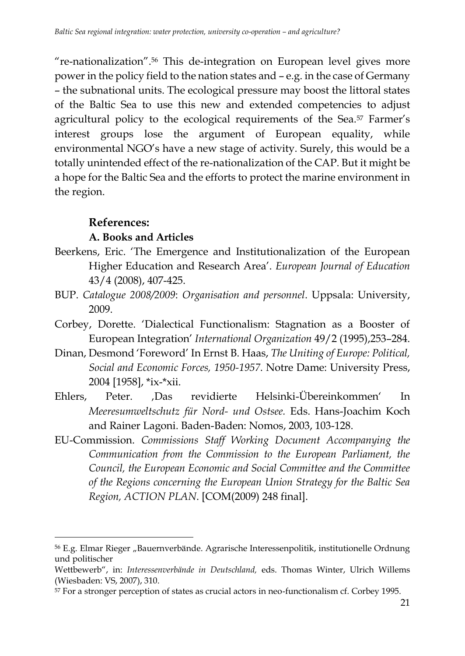"re-nationalization".<sup>56</sup> This de-integration on European level gives more power in the policy field to the nation states and – e.g. in the case of Germany – the subnational units. The ecological pressure may boost the littoral states of the Baltic Sea to use this new and extended competencies to adjust agricultural policy to the ecological requirements of the Sea.<sup>57</sup> Farmer's interest groups lose the argument of European equality, while environmental NGO's have a new stage of activity. Surely, this would be a totally unintended effect of the re-nationalization of the CAP. But it might be a hope for the Baltic Sea and the efforts to protect the marine environment in the region.

#### **References:**

l

#### **A. Books and Articles**

- Beerkens, Eric. 'The Emergence and Institutionalization of the European Higher Education and Research Area'. *European Journal of Education* 43/4 (2008), 407-425.
- BUP. *Catalogue 2008/2009*: *Organisation and personnel*. Uppsala: University, 2009.
- Corbey, Dorette. 'Dialectical Functionalism: Stagnation as a Booster of European Integration' *International Organization* 49/2 (1995),253–284.
- Dinan, Desmond 'Foreword' In Ernst B. Haas, *The Uniting of Europe: Political, Social and Economic Forces, 1950-1957*. Notre Dame: University Press, 2004 [1958], \*ix-\*xii.
- Ehlers, Peter. 'Das revidierte Helsinki-Übereinkommen' In *Meeresumweltschutz für Nord- und Ostsee.* Eds. Hans-Joachim Koch and Rainer Lagoni. Baden-Baden: Nomos, 2003, 103-128.
- EU-Commission. *Commissions Staff Working Document Accompanying the Communication from the Commission to the European Parliament, the Council, the European Economic and Social Committee and the Committee of the Regions concerning the European Union Strategy for the Baltic Sea Region, ACTION PLAN*. [COM(2009) 248 final].

<sup>&</sup>lt;sup>56</sup> E.g. Elmar Rieger "Bauernverbände. Agrarische Interessenpolitik, institutionelle Ordnung und politischer

Wettbewerb", in: *Interessenverbände in Deutschland,* eds. Thomas Winter, Ulrich Willems (Wiesbaden: VS, 2007), 310.

<sup>57</sup> For a stronger perception of states as crucial actors in neo-functionalism cf. Corbey 1995.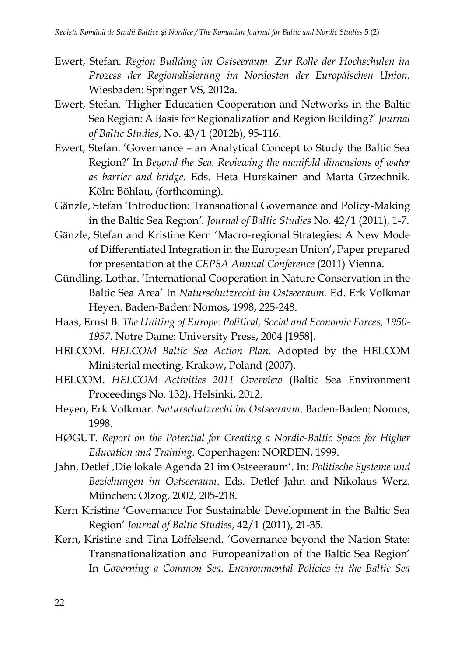- Ewert, Stefan. *Region Building im Ostseeraum. Zur Rolle der Hochschulen im Prozess der Regionalisierung im Nordosten der Europäischen Union.*  Wiesbaden: Springer VS, 2012a.
- Ewert, Stefan. 'Higher Education Cooperation and Networks in the Baltic Sea Region: A Basis for Regionalization and Region Building?' *Journal of Baltic Studies*, No. 43/1 (2012b), 95-116.
- Ewert, Stefan. 'Governance an Analytical Concept to Study the Baltic Sea Region?' In *Beyond the Sea. Reviewing the manifold dimensions of water as barrier and bridge.* Eds. Heta Hurskainen and Marta Grzechnik. Köln: Böhlau, (forthcoming).
- Gänzle, Stefan 'Introduction: Transnational Governance and Policy-Making in the Baltic Sea Region*'. Journal of Baltic Studies* No. 42/1 (2011), 1-7.
- Gänzle, Stefan and Kristine Kern 'Macro-regional Strategies: A New Mode of Differentiated Integration in the European Union', Paper prepared for presentation at the *CEPSA Annual Conference* (2011) Vienna.
- Gündling, Lothar. 'International Cooperation in Nature Conservation in the Baltic Sea Area' In *Naturschutzrecht im Ostseeraum.* Ed. Erk Volkmar Heyen. Baden-Baden: Nomos, 1998, 225-248.
- Haas, Ernst B. *The Uniting of Europe: Political, Social and Economic Forces, 1950- 1957.* Notre Dame: University Press, 2004 [1958].
- HELCOM. *HELCOM Baltic Sea Action Plan*. Adopted by the HELCOM Ministerial meeting, Krakow, Poland (2007).
- HELCOM. *HELCOM Activities 2011 Overview* (Baltic Sea Environment Proceedings No. 132), Helsinki, 2012.
- Heyen, Erk Volkmar. *Naturschutzrecht im Ostseeraum*. Baden-Baden: Nomos, 1998.
- HØGUT. *Report on the Potential for Creating a Nordic-Baltic Space for Higher Education and Training.* Copenhagen: NORDEN, 1999.
- Jahn, Detlef 'Die lokale Agenda 21 im Ostseeraum'. In: *Politische Systeme und Beziehungen im Ostseeraum*. Eds. Detlef Jahn and Nikolaus Werz. München: Olzog, 2002, 205-218.
- Kern Kristine 'Governance For Sustainable Development in the Baltic Sea Region' *Journal of Baltic Studies*, 42/1 (2011), 21-35.
- Kern, Kristine and Tina Löffelsend. 'Governance beyond the Nation State: Transnationalization and Europeanization of the Baltic Sea Region' In *Governing a Common Sea. Environmental Policies in the Baltic Sea*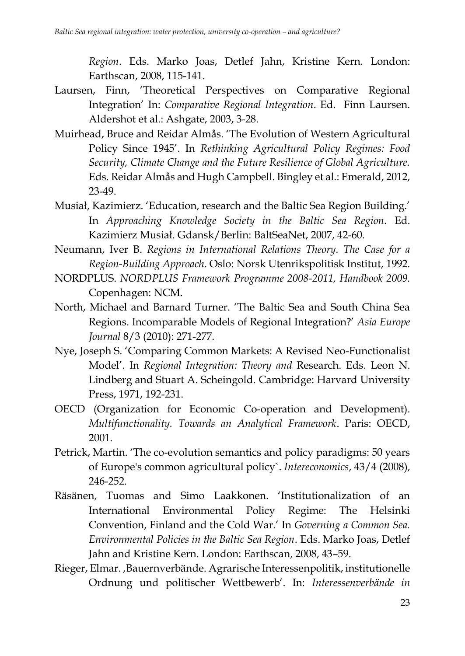*Region*. Eds. Marko Joas, Detlef Jahn, Kristine Kern. London: Earthscan, 2008, 115-141.

- Laursen, Finn, 'Theoretical Perspectives on Comparative Regional Integration' In: *Comparative Regional Integration*. Ed. Finn Laursen. Aldershot et al.: Ashgate, 2003, 3-28.
- Muirhead, Bruce and Reidar Almås. 'The Evolution of Western Agricultural Policy Since 1945'. In *Rethinking Agricultural Policy Regimes: Food Security, Climate Change and the Future Resilience of Global Agriculture.*  Eds. Reidar Almås and Hugh Campbell. Bingley et al.: Emerald, 2012, 23-49.
- Musiał, Kazimierz. 'Education, research and the Baltic Sea Region Building.' In *Approaching Knowledge Society in the Baltic Sea Region.* Ed. Kazimierz Musiał. Gdansk/Berlin: BaltSeaNet, 2007, 42-60.
- Neumann, Iver B. *Regions in International Relations Theory. The Case for a Region-Building Approach*. Oslo: Norsk Utenrikspolitisk Institut, 1992.
- NORDPLUS. *NORDPLUS Framework Programme 2008-2011, Handbook 2009.*  Copenhagen: NCM.
- North, Michael and Barnard Turner. 'The Baltic Sea and South China Sea Regions. Incomparable Models of Regional Integration?' *Asia Europe Journal* 8/3 (2010): 271-277.
- Nye, Joseph S. 'Comparing Common Markets: A Revised Neo-Functionalist Model'. In *Regional Integration: Theory and* Research. Eds. Leon N. Lindberg and Stuart A. Scheingold. Cambridge: Harvard University Press, 1971, 192-231.
- OECD (Organization for Economic Co-operation and Development). *Multifunctionality. Towards an Analytical Framework*. Paris: OECD, 2001.
- Petrick, Martin. 'The co-evolution semantics and policy paradigms: 50 years of Europe's common agricultural policy`. *Intereconomics*, 43/4 (2008), 246-252.
- Räsänen, Tuomas and Simo Laakkonen. 'Institutionalization of an International Environmental Policy Regime: The Helsinki Convention, Finland and the Cold War.' In *Governing a Common Sea. Environmental Policies in the Baltic Sea Region*. Eds. Marko Joas, Detlef Jahn and Kristine Kern. London: Earthscan, 2008, 43–59.
- Rieger, Elmar., Bauernverbände. Agrarische Interessenpolitik, institutionelle Ordnung und politischer Wettbewerb'. In: *Interessenverbände in*